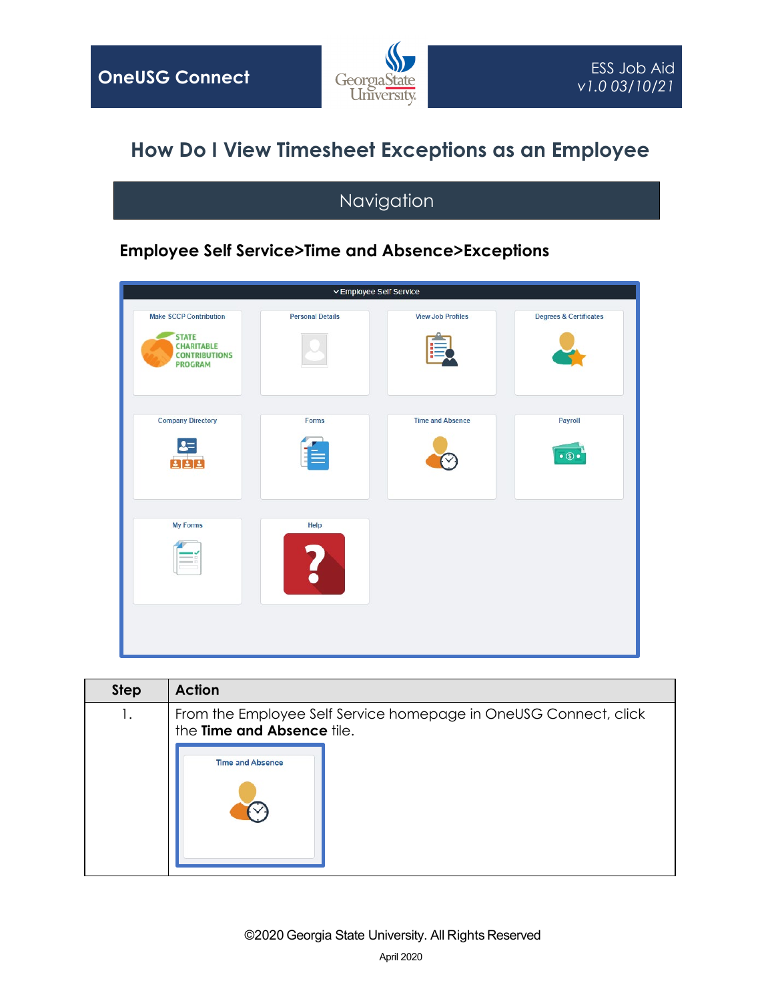

## **How Do I View Timesheet Exceptions as an Employee**

## Navigation

## **Employee Self Service>Time and Absence>Exceptions**

| $\backsim$ Employee Self Service |                          |                                     |
|----------------------------------|--------------------------|-------------------------------------|
| <b>Personal Details</b>          | <b>View Job Profiles</b> | <b>Degrees &amp; Certificates</b>   |
| Forms                            | <b>Time and Absence</b>  | <b>Payroll</b><br>$\bullet$ $\circ$ |
| Help                             |                          |                                     |
|                                  |                          |                                     |

| <b>Step</b> | <b>Action</b>                                                                                  |
|-------------|------------------------------------------------------------------------------------------------|
| Ι.          | From the Employee Self Service homepage in OneUSG Connect, click<br>the Time and Absence tile. |
|             | <b>Time and Absence</b>                                                                        |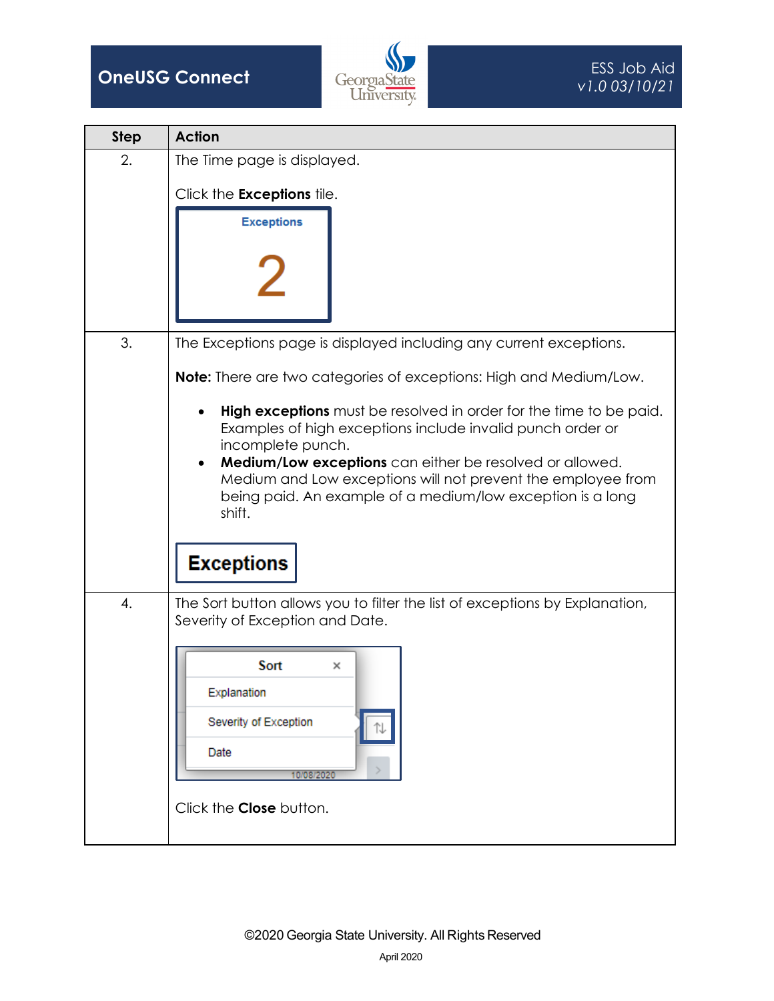



| <b>Step</b> | <b>Action</b>                                                                                                                                                                                                                                                                                                                                                                                     |
|-------------|---------------------------------------------------------------------------------------------------------------------------------------------------------------------------------------------------------------------------------------------------------------------------------------------------------------------------------------------------------------------------------------------------|
| 2.          | The Time page is displayed.                                                                                                                                                                                                                                                                                                                                                                       |
|             | Click the Exceptions tile.                                                                                                                                                                                                                                                                                                                                                                        |
|             | <b>Exceptions</b>                                                                                                                                                                                                                                                                                                                                                                                 |
| 3.          | The Exceptions page is displayed including any current exceptions.                                                                                                                                                                                                                                                                                                                                |
|             | <b>Note:</b> There are two categories of exceptions: High and Medium/Low.                                                                                                                                                                                                                                                                                                                         |
|             | <b>High exceptions</b> must be resolved in order for the time to be paid.<br>٠<br>Examples of high exceptions include invalid punch order or<br>incomplete punch.<br><b>Medium/Low exceptions</b> can either be resolved or allowed.<br>Medium and Low exceptions will not prevent the employee from<br>being paid. An example of a medium/low exception is a long<br>shift.<br><b>Exceptions</b> |
| 4.          | The Sort button allows you to filter the list of exceptions by Explanation,<br>Severity of Exception and Date.                                                                                                                                                                                                                                                                                    |
|             | Sort<br>×<br>Explanation<br>Severity of Exception<br>Date<br>10/08/2020<br>Click the <b>Close</b> button.                                                                                                                                                                                                                                                                                         |